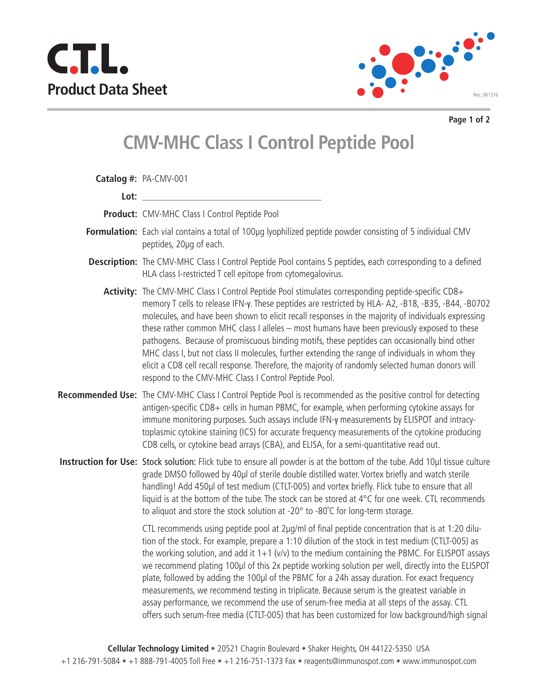



**Page 1 of 2**

## **CMV-MHC Class I Control Peptide Pool**

|      | Catalog #: PA-CMV-001                                                                                                                                                                                                                                                                                                                                                                                                                                                                                                                                                                                                                                                                                                                                                                                              |
|------|--------------------------------------------------------------------------------------------------------------------------------------------------------------------------------------------------------------------------------------------------------------------------------------------------------------------------------------------------------------------------------------------------------------------------------------------------------------------------------------------------------------------------------------------------------------------------------------------------------------------------------------------------------------------------------------------------------------------------------------------------------------------------------------------------------------------|
| Lot: |                                                                                                                                                                                                                                                                                                                                                                                                                                                                                                                                                                                                                                                                                                                                                                                                                    |
|      | Product: CMV-MHC Class I Control Peptide Pool                                                                                                                                                                                                                                                                                                                                                                                                                                                                                                                                                                                                                                                                                                                                                                      |
|      | Formulation: Each vial contains a total of 100µg lyophilized peptide powder consisting of 5 individual CMV<br>peptides, 20µq of each.                                                                                                                                                                                                                                                                                                                                                                                                                                                                                                                                                                                                                                                                              |
|      | Description: The CMV-MHC Class I Control Peptide Pool contains 5 peptides, each corresponding to a defined<br>HLA class I-restricted T cell epitope from cytomegalovirus.                                                                                                                                                                                                                                                                                                                                                                                                                                                                                                                                                                                                                                          |
|      | Activity: The CMV-MHC Class I Control Peptide Pool stimulates corresponding peptide-specific CD8+<br>memory T cells to release IFN-y. These peptides are restricted by HLA-A2, -B18, -B35, -B44, -B0702<br>molecules, and have been shown to elicit recall responses in the majority of individuals expressing<br>these rather common MHC class I alleles - most humans have been previously exposed to these<br>pathogens. Because of promiscuous binding motifs, these peptides can occasionally bind other<br>MHC class I, but not class II molecules, further extending the range of individuals in whom they<br>elicit a CD8 cell recall response. Therefore, the majority of randomly selected human donors will<br>respond to the CMV-MHC Class I Control Peptide Pool.                                     |
|      | Recommended Use: The CMV-MHC Class I Control Peptide Pool is recommended as the positive control for detecting<br>antigen-specific CD8+ cells in human PBMC, for example, when performing cytokine assays for<br>immune monitoring purposes. Such assays include IFN-y measurements by ELISPOT and intracy-<br>toplasmic cytokine staining (ICS) for accurate frequency measurements of the cytokine producing<br>CD8 cells, or cytokine bead arrays (CBA), and ELISA, for a semi-quantitative read out.                                                                                                                                                                                                                                                                                                           |
|      | Instruction for Use: Stock solution: Flick tube to ensure all powder is at the bottom of the tube. Add 10µl tissue culture<br>grade DMSO followed by 40µl of sterile double distilled water. Vortex briefly and watch sterile<br>handling! Add 450µl of test medium (CTLT-005) and vortex briefly. Flick tube to ensure that all<br>liquid is at the bottom of the tube. The stock can be stored at 4°C for one week. CTL recommends<br>to aliquot and store the stock solution at -20° to -80°C for long-term storage.                                                                                                                                                                                                                                                                                            |
|      | CTL recommends using peptide pool at 2µg/ml of final peptide concentration that is at 1:20 dilu-<br>tion of the stock. For example, prepare a 1:10 dilution of the stock in test medium (CTLT-005) as<br>the working solution, and add it $1+1$ (v/v) to the medium containing the PBMC. For ELISPOT assays<br>we recommend plating 100µl of this 2x peptide working solution per well, directly into the ELISPOT<br>plate, followed by adding the 100µl of the PBMC for a 24h assay duration. For exact frequency<br>measurements, we recommend testing in triplicate. Because serum is the greatest variable in<br>assay performance, we recommend the use of serum-free media at all steps of the assay. CTL<br>offers such serum-free media (CTLT-005) that has been customized for low background/high signal |